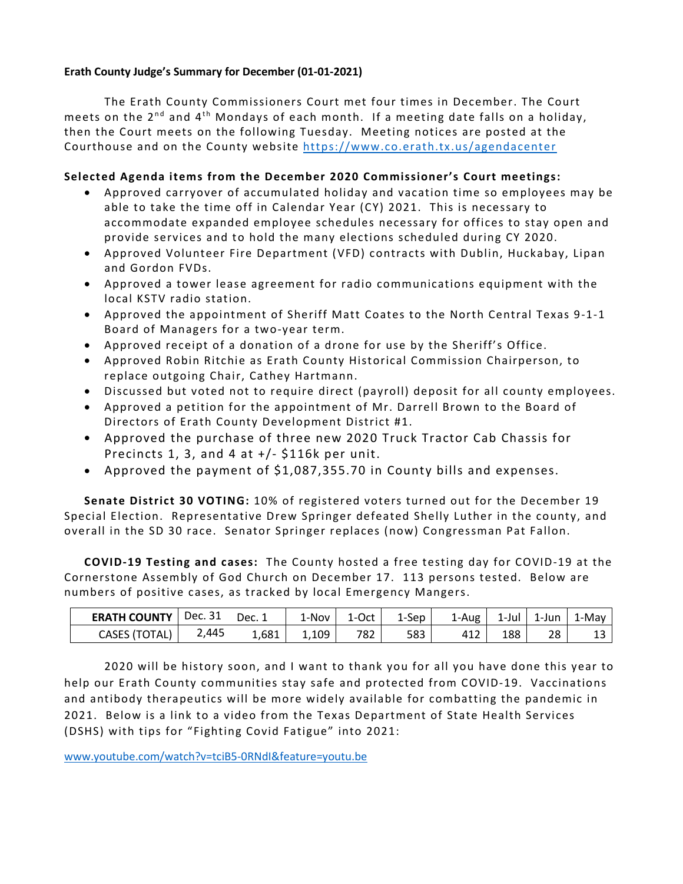#### **Erath County Judge's Summary for December (01-01-2021)**

The Erath County Commissioners Court met four times in December. The Court meets on the  $2^{nd}$  and  $4^{th}$  Mondays of each month. If a meeting date falls on a holiday, then the Court meets on the following Tuesday. Meeting notices are posted at the Courthouse and on the County website<https://www.co.erath.tx.us/agendacenter>

## **Selected Agenda items from the December 2020 Commissioner's Court meetings:**

- Approved carryover of accumulated holiday and vacation time so employees may be able to take the time off in Calendar Year (CY) 2021. This is necessary to accommodate expanded employee schedules necessary for offices to stay open and provide services and to hold the many elections scheduled during CY 2020.
- Approved Volunteer Fire Department (VFD) contracts with Dublin, Huckabay, Lipan and Gordon FVDs.
- Approved a tower lease agreement for radio communications equipment with the local KSTV radio station.
- Approved the appointment of Sheriff Matt Coates to the North Central Texas 9-1-1 Board of Managers for a two-year term.
- Approved receipt of a donation of a drone for use by the Sheriff's Office.
- Approved Robin Ritchie as Erath County Historical Commission Chairperson, to replace outgoing Chair, Cathey Hartmann.
- Discussed but voted not to require direct (payroll) deposit for all county employees.
- Approved a petition for the appointment of Mr. Darrell Brown to the Board of Directors of Erath County Development District #1.
- Approved the purchase of three new 2020 Truck Tractor Cab Chassis for Precincts 1, 3, and 4 at +/- \$116k per unit.
- Approved the payment of \$1,087,355.70 in County bills and expenses.

**Senate District 30 VOTING:** 10% of registered voters turned out for the December 19 Special Election. Representative Drew Springer defeated Shelly Luther in the county, and overall in the SD 30 race. Senator Springer replaces (now) Congressman Pat Fallon.

**COVID-19 Testing and cases:** The County hosted a free testing day for COVID-19 at the Cornerstone Assembly of God Church on December 17. 113 persons tested. Below are numbers of positive cases, as tracked by local Emergency Mangers.

| <b>ERATH COUNTY</b>  | Dec. 31 | Dec. 1 | 1-Nov | 1-Oct | L-Sep | 1-Aug           | 1-Jul | 1-Jun | $1-Mav$ |
|----------------------|---------|--------|-------|-------|-------|-----------------|-------|-------|---------|
| <b>CASES (TOTAL)</b> | 2,445   | 1,681  | 1,109 | 782   | 583   | 41 <sub>2</sub> | 188   | 28    |         |

2020 will be history soon, and I want to thank you for all you have done this year to help our Erath County communities stay safe and protected from COVID-19. Vaccinations and antibody therapeutics will be more widely available for combatting the pandemic in 2021. Below is a link to a video from the Texas Department of State Health Services (DSHS) with tips for "Fighting Covid Fatigue" into 2021:

[www.youtube.com/watch?v=tciB5-0RNdI&feature=youtu.be](http://www.youtube.com/watch?v=tciB5-0RNdI&feature=youtu.be)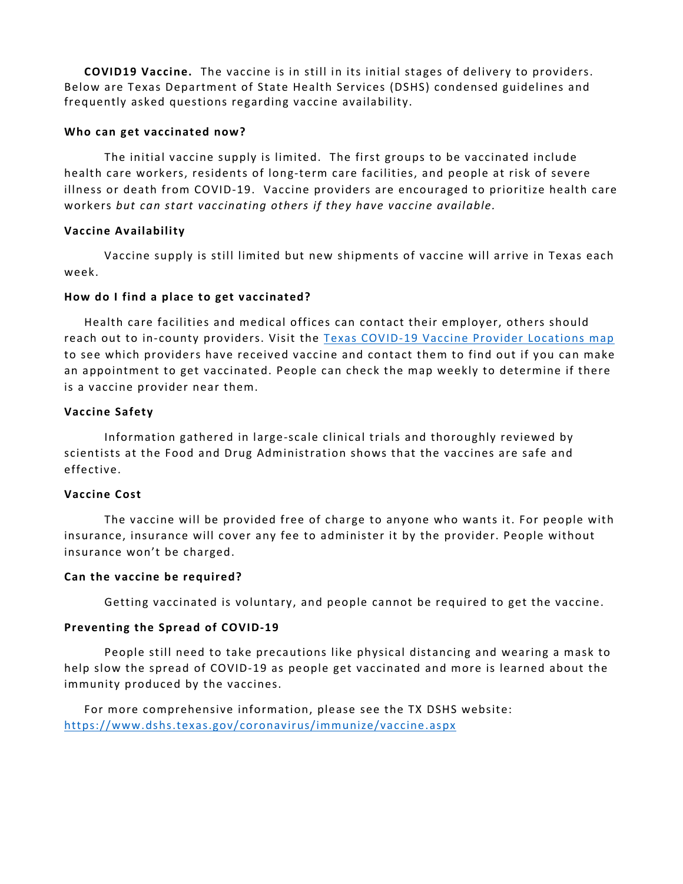**COVID19 Vaccine.** The vaccine is in still in its initial stages of delivery to providers. Below are Texas Department of State Health Services (DSHS) condensed guidelines and frequently asked questions regarding vaccine availability.

### **Who can get vaccinated now?**

The initial vaccine supply is limited. The first groups to be vaccinated include health care workers, residents of long-term care facilities, and people at risk of severe illness or death from COVID-19. Vaccine providers are encouraged to prioritize health care workers *but can start vaccinating others if they have vaccine available.*

# **Vaccine Availability**

Vaccine supply is still limited but new shipments of vaccine will arrive in Texas each week.

### **How do I find a place to get vaccinated?**

Health care facilities and medical offices can contact their employer, others should reach out to in-county providers. Visit the [Texas COVID-19 Vaccine Provider Locations map](https://txdshs.maps.arcgis.com/apps/webappviewer/index.html?id=91ac7fb5e5fd47e7ada4acfe4a05920a) to see which providers have received vaccine and contact them to find out if you can make an appointment to get vaccinated. People can check the map weekly to determine if there is a vaccine provider near them.

### **Vaccine Safety**

Information gathered in large-scale clinical trials and thoroughly reviewed by scientists at the Food and Drug Administration shows that the vaccines are safe and effective.

#### **Vaccine Cost**

The vaccine will be provided free of charge to anyone who wants it. For people with insurance, insurance will cover any fee to administer it by the provider. People without insurance won't be charged.

#### **Can the vaccine be required?**

Getting vaccinated is voluntary, and people cannot be required to get the vaccine.

#### **Preventing the Spread of COVID-19**

People still need to take precautions like physical distancing and wearing a mask to help slow the spread of COVID-19 as people get vaccinated and more is learned about the immunity produced by the vaccines.

For more comprehensive information, please see the TX DSHS website: <https://www.dshs.texas.gov/coronavirus/immunize/vaccine.aspx>